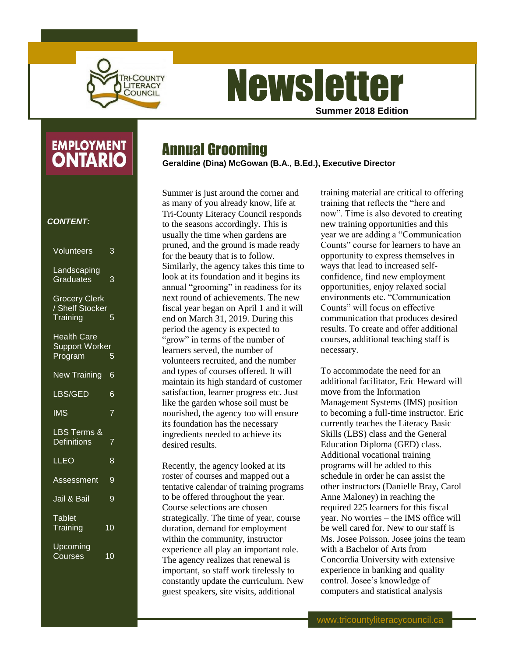

## **Newsletter Summer 2018 Edition**

# **EMPLOYMENT**

#### *CONTENT:*

| Volunteers                                          | 3              |
|-----------------------------------------------------|----------------|
| Landscaping<br>Graduates                            | 3              |
| <b>Grocery Clerk</b><br>/ Shelf Stocker<br>Training | 5              |
| <b>Health Care</b><br>Support Worker<br>Program     | 5              |
| <b>New Training</b>                                 | 6              |
| LBS/GED                                             | 6              |
| <b>IMS</b>                                          | $\overline{7}$ |
|                                                     |                |
| LBS Terms <mark>&amp;</mark><br>Definitions         | $\overline{7}$ |
| LLEO                                                | 8              |
| Assessment                                          | 9              |
| Jail & Bail                                         | 9              |
| <b>Tablet</b><br>Training                           | 10             |

### Annual Grooming

**Geraldine (Dina) McGowan (B.A., B.Ed.), Executive Director**

Summer is just around the corner and as many of you already know, life at Tri-County Literacy Council responds to the seasons accordingly. This is usually the time when gardens are pruned, and the ground is made ready for the beauty that is to follow. Similarly, the agency takes this time to look at its foundation and it begins its annual "grooming" in readiness for its next round of achievements. The new fiscal year began on April 1 and it will end on March 31, 2019. During this period the agency is expected to "grow" in terms of the number of learners served, the number of volunteers recruited, and the number and types of courses offered. It will maintain its high standard of customer satisfaction, learner progress etc. Just like the garden whose soil must be nourished, the agency too will ensure its foundation has the necessary ingredients needed to achieve its desired results.

Recently, the agency looked at its roster of courses and mapped out a tentative calendar of training programs to be offered throughout the year. Course selections are chosen strategically. The time of year, course duration, demand for employment within the community, instructor experience all play an important role. The agency realizes that renewal is important, so staff work tirelessly to constantly update the curriculum. New guest speakers, site visits, additional

training material are critical to offering training that reflects the "here and now". Time is also devoted to creating new training opportunities and this year we are adding a "Communication Counts" course for learners to have an opportunity to express themselves in ways that lead to increased selfconfidence, find new employment opportunities, enjoy relaxed social environments etc. "Communication Counts" will focus on effective communication that produces desired results. To create and offer additional courses, additional teaching staff is necessary.

To accommodate the need for an additional facilitator, Eric Heward will move from the Information Management Systems (IMS) position to becoming a full-time instructor. Eric currently teaches the Literacy Basic Skills (LBS) class and the General Education Diploma (GED) class. Additional vocational training programs will be added to this schedule in order he can assist the other instructors (Danielle Bray, Carol Anne Maloney) in reaching the required 225 learners for this fiscal year. No worries – the IMS office will be well cared for. New to our staff is Ms. Josee Poisson. Josee joins the team with a Bachelor of Arts from Concordia University with extensive experience in banking and quality control. Josee's knowledge of computers and statistical analysis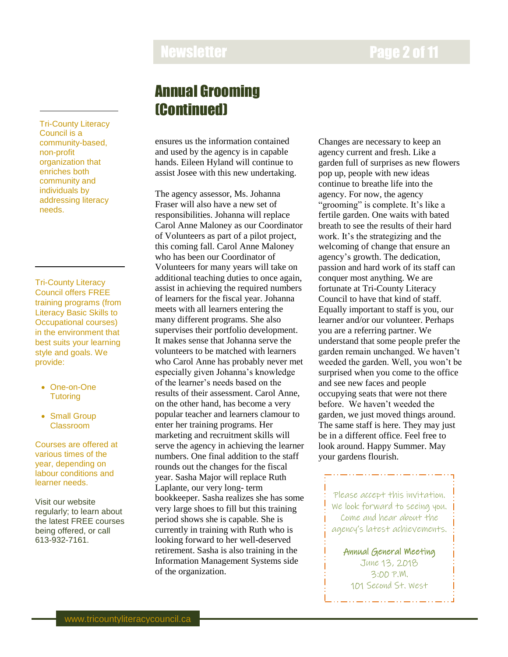### Newsletter **Newsletter 2 of 11**

Tri-County Literacy Council is a community-based, non-profit organization that enriches both community and individuals by addressing literacy needs.

Tri-County Literacy Council offers FREE training programs (from Literacy Basic Skills to Occupational courses) in the environment that best suits your learning style and goals. We provide:

- One-on-One **Tutoring**
- Small Group Classroom

Courses are offered at various times of the year, depending on labour conditions and learner needs.

Visit our website regularly; to learn about the latest FREE courses being offered, or call 613-932-7161.

### Annual Grooming (Continued)

ensures us the information contained and used by the agency is in capable hands. Eileen Hyland will continue to assist Josee with this new undertaking.

The agency assessor, Ms. Johanna Fraser will also have a new set of responsibilities. Johanna will replace Carol Anne Maloney as our Coordinator of Volunteers as part of a pilot project, this coming fall. Carol Anne Maloney who has been our Coordinator of Volunteers for many years will take on additional teaching duties to once again, assist in achieving the required numbers of learners for the fiscal year. Johanna meets with all learners entering the many different programs. She also supervises their portfolio development. It makes sense that Johanna serve the volunteers to be matched with learners who Carol Anne has probably never met especially given Johanna's knowledge of the learner's needs based on the results of their assessment. Carol Anne, on the other hand, has become a very popular teacher and learners clamour to enter her training programs. Her marketing and recruitment skills will serve the agency in achieving the learner numbers. One final addition to the staff rounds out the changes for the fiscal year. Sasha Major will replace Ruth Laplante, our very long- term bookkeeper. Sasha realizes she has some very large shoes to fill but this training period shows she is capable. She is currently in training with Ruth who is looking forward to her well-deserved retirement. Sasha is also training in the Information Management Systems side of the organization.

Changes are necessary to keep an agency current and fresh. Like a garden full of surprises as new flowers pop up, people with new ideas continue to breathe life into the agency. For now, the agency "grooming" is complete. It's like a fertile garden. One waits with bated breath to see the results of their hard work. It's the strategizing and the welcoming of change that ensure an agency's growth. The dedication, passion and hard work of its staff can conquer most anything. We are fortunate at Tri-County Literacy Council to have that kind of staff. Equally important to staff is you, our learner and/or our volunteer. Perhaps you are a referring partner. We understand that some people prefer the garden remain unchanged. We haven't weeded the garden. Well, you won't be surprised when you come to the office and see new faces and people occupying seats that were not there before. We haven't weeded the garden, we just moved things around. The same staff is here. They may just be in a different office. Feel free to look around. Happy Summer. May your gardens flourish.

Please accept this invitation. We look forward to seeing you. Come and hear about the agency's latest achievements.

Annual General Meeting June 13, 2018 3:00 P.M. 101 Second St. West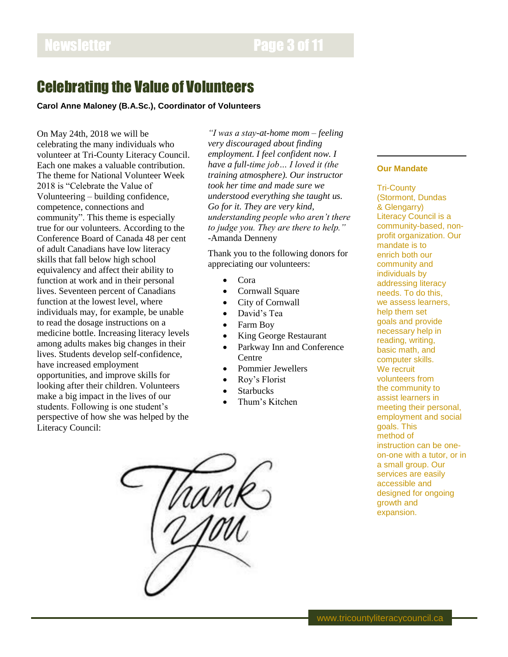### Newsletter **Page 3 of 11**

### Celebrating the Value of Volunteers

#### **Carol Anne Maloney (B.A.Sc.), Coordinator of Volunteers**

On May 24th, 2018 we will be celebrating the many individuals who volunteer at Tri-County Literacy Council. Each one makes a valuable contribution. The theme for National Volunteer Week 2018 is "Celebrate the Value of Volunteering – building confidence, competence, connections and community". This theme is especially true for our volunteers. According to the Conference Board of Canada 48 per cent of adult Canadians have low literacy skills that fall below high school equivalency and affect their ability to function at work and in their personal lives. Seventeen percent of Canadians function at the lowest level, where individuals may, for example, be unable to read the dosage instructions on a medicine bottle. Increasing literacy levels among adults makes big changes in their lives. Students develop self-confidence, have increased employment opportunities, and improve skills for looking after their children. Volunteers make a big impact in the lives of our students. Following is one student's perspective of how she was helped by the Literacy Council:

*"I was a stay-at-home mom – feeling very discouraged about finding employment. I feel confident now. I have a full-time job… I loved it (the training atmosphere). Our instructor took her time and made sure we understood everything she taught us. Go for it. They are very kind, understanding people who aren't there to judge you. They are there to help."*  -Amanda Denneny

Thank you to the following donors for appreciating our volunteers:

- Cora
- Cornwall Square
- City of Cornwall
- David's Tea
- Farm Boy
- King George Restaurant
- Parkway Inn and Conference **Centre**
- Pommier Jewellers
- Roy's Florist
- **Starbucks**
- Thum's Kitchen

#### **Our Mandate**

Tri-County (Stormont, Dundas & Glengarry) Literacy Council is a community-based, nonprofit organization. Our mandate is to enrich both our community and individuals by addressing literacy needs. To do this, we assess learners, help them set goals and provide necessary help in reading, writing, basic math, and computer skills. We recruit volunteers from the community to assist learners in meeting their personal, employment and social goals. This method of instruction can be oneon-one with a tutor, or in a small group. Our services are easily accessible and designed for ongoing growth and expansion.

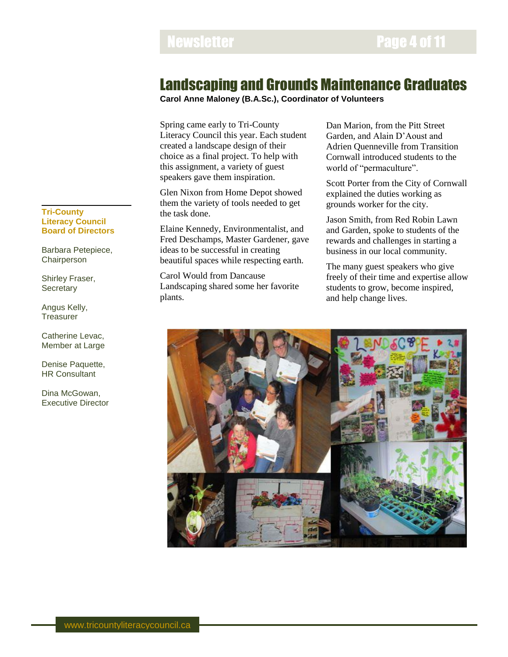### Newsletter **Newsletter Page 4 of 11**

### Landscaping and Grounds Maintenance Graduates

**Carol Anne Maloney (B.A.Sc.), Coordinator of Volunteers**

Spring came early to Tri-County Literacy Council this year. Each student created a landscape design of their choice as a final project. To help with this assignment, a variety of guest speakers gave them inspiration.

Glen Nixon from Home Depot showed them the variety of tools needed to get the task done.

Elaine Kennedy, Environmentalist, and Fred Deschamps, Master Gardener, gave ideas to be successful in creating beautiful spaces while respecting earth.

Carol Would from Dancause Landscaping shared some her favorite plants.

Dan Marion, from the Pitt Street Garden, and Alain D'Aoust and Adrien Quenneville from Transition Cornwall introduced students to the world of "permaculture".

Scott Porter from the City of Cornwall explained the duties working as grounds worker for the city.

Jason Smith, from Red Robin Lawn and Garden, spoke to students of the rewards and challenges in starting a business in our local community.

The many guest speakers who give freely of their time and expertise allow students to grow, become inspired, and help change lives.



#### **Tri-County Literacy Council Board of Directors**

Barbara Petepiece, Chairperson

Shirley Fraser, **Secretary** 

Angus Kelly, **Treasurer** 

Catherine Levac, Member at Large

Denise Paquette, HR Consultant

Dina McGowan, Executive Director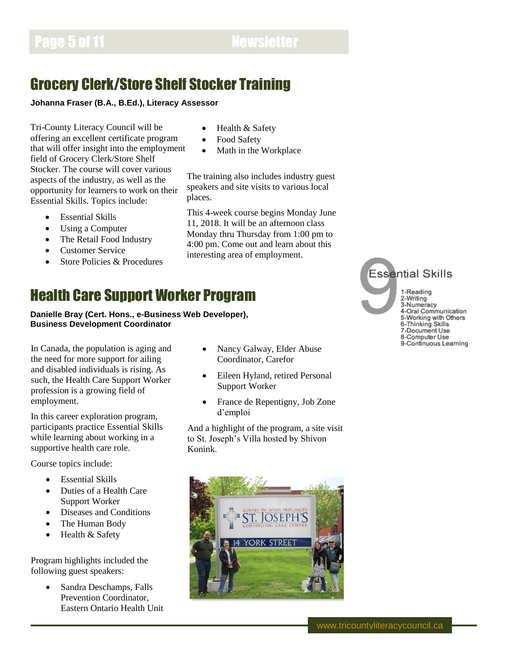## Grocery Clerk/Store Shelf Stocker Training

**Johanna Fraser (B.A., B.Ed.), Literacy Assessor**

Tri-County Literacy Council will be offering an excellent certificate program that will offer insight into the employment field of Grocery Clerk/Store Shelf Stocker. The course will cover various aspects of the industry, as well as the opportunity for learners to work on their Essential Skills. Topics include:

- Essential Skills
- Using a Computer
- The Retail Food Industry
- Customer Service
- Store Policies & Procedures
- Health & Safety
- Food Safety
- Math in the Workplace

The training also includes industry guest speakers and site visits to various local places.

This 4-week course begins Monday June 11, 2018. It will be an afternoon class Monday thru Thursday from 1:00 pm to 4:00 pm. Come out and learn about this interesting area of employment.

## Health Care Support Worker Program

**Danielle Bray (Cert. Hons., e-Business Web Developer), Business Development Coordinator**

In Canada, the population is aging and the need for more support for ailing and disabled individuals is rising. As such, the Health Care Support Worker profession is a growing field of employment.

In this career exploration program, participants practice Essential Skills while learning about working in a supportive health care role.

Course topics include:

- **Essential Skills**
- Duties of a Health Care Support Worker
- Diseases and Conditions
- The Human Body
- Health & Safety

Program highlights included the following guest speakers:

> • Sandra Deschamps, Falls Prevention Coordinator, Eastern Ontario Health Unit

- Nancy Galway, Elder Abuse Coordinator, Carefor
- Eileen Hyland, retired Personal Support Worker
- France de Repentigny, Job Zone d'emploi

And a highlight of the program, a site visit to St. Joseph's Villa hosted by Shivon Konink.



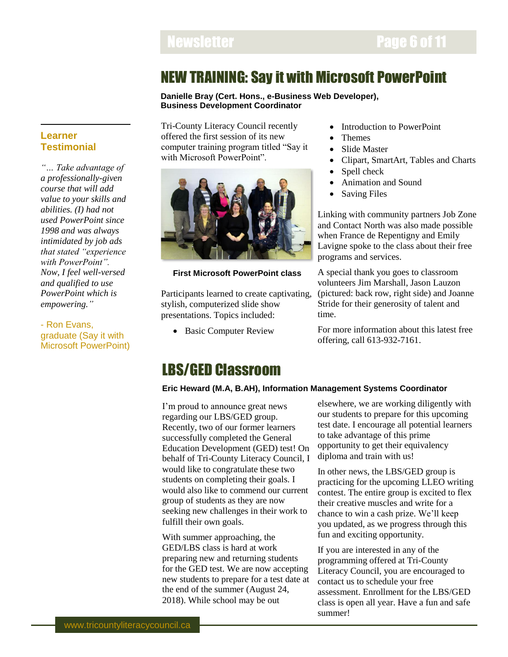### NEW TRAINING: Say it with Microsoft PowerPoint

**Danielle Bray (Cert. Hons., e-Business Web Developer), Business Development Coordinator**

Tri-County Literacy Council recently offered the first session of its new computer training program titled "Say it with Microsoft PowerPoint".



#### **First Microsoft PowerPoint class**

Participants learned to create captivating, stylish, computerized slide show presentations. Topics included:

• Basic Computer Review

- Introduction to PowerPoint
- Themes
- Slide Master
- Clipart, SmartArt, Tables and Charts
- Spell check
- Animation and Sound
- Saving Files

Linking with community partners Job Zone and Contact North was also made possible when France de Repentigny and Emily Lavigne spoke to the class about their free programs and services.

A special thank you goes to classroom volunteers Jim Marshall, Jason Lauzon (pictured: back row, right side) and Joanne Stride for their generosity of talent and time.

For more information about this latest free offering, call 613-932-7161.

### LBS/GED Classroom

#### **Eric Heward (M.A, B.AH), Information Management Systems Coordinator**

I'm proud to announce great news regarding our LBS/GED group. Recently, two of our former learners successfully completed the General Education Development (GED) test! On behalf of Tri-County Literacy Council, I would like to congratulate these two students on completing their goals. I would also like to commend our current group of students as they are now seeking new challenges in their work to fulfill their own goals.

With summer approaching, the GED/LBS class is hard at work preparing new and returning students for the GED test. We are now accepting new students to prepare for a test date at the end of the summer (August 24, 2018). While school may be out

elsewhere, we are working diligently with our students to prepare for this upcoming test date. I encourage all potential learners to take advantage of this prime opportunity to get their equivalency diploma and train with us!

In other news, the LBS/GED group is practicing for the upcoming LLEO writing contest. The entire group is excited to flex their creative muscles and write for a chance to win a cash prize. We'll keep you updated, as we progress through this fun and exciting opportunity.

If you are interested in any of the programming offered at Tri-County Literacy Council, you are encouraged to contact us to schedule your free assessment. Enrollment for the LBS/GED class is open all year. Have a fun and safe summer!

#### **Learner Testimonial**

*"… Take advantage of a professionally-given course that will add value to your skills and abilities. (I) had not used PowerPoint since 1998 and was always intimidated by job ads that stated "experience with PowerPoint". Now, I feel well-versed and qualified to use PowerPoint which is empowering."*

- Ron Evans, graduate (Say it with Microsoft PowerPoint)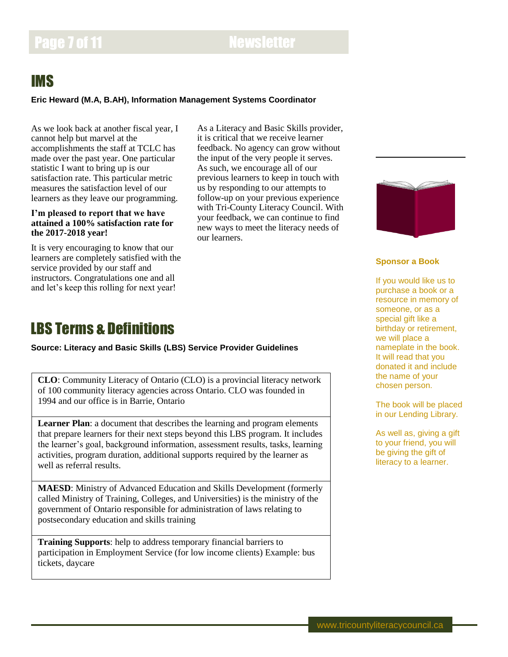## Page 7 of 11 Newsletter

### IMS

#### **Eric Heward (M.A, B.AH), Information Management Systems Coordinator**

As we look back at another fiscal year, I cannot help but marvel at the accomplishments the staff at TCLC has made over the past year. One particular statistic I want to bring up is our satisfaction rate. This particular metric measures the satisfaction level of our learners as they leave our programming.

#### **I'm pleased to report that we have attained a 100% satisfaction rate for the 2017-2018 year!**

It is very encouraging to know that our learners are completely satisfied with the service provided by our staff and instructors. Congratulations one and all and let's keep this rolling for next year!

As a Literacy and Basic Skills provider, it is critical that we receive learner feedback. No agency can grow without the input of the very people it serves. As such, we encourage all of our previous learners to keep in touch with us by responding to our attempts to follow-up on your previous experience with Tri-County Literacy Council. With your feedback, we can continue to find new ways to meet the literacy needs of our learners.

### LBS Terms & Definitions

**Source: Literacy and Basic Skills (LBS) Service Provider Guidelines**

**CLO**: Community Literacy of Ontario (CLO) is a provincial literacy network of 100 community literacy agencies across Ontario. CLO was founded in 1994 and our office is in Barrie, Ontario

**Learner Plan**: a document that describes the learning and program elements that prepare learners for their next steps beyond this LBS program. It includes the learner's goal, background information, assessment results, tasks, learning activities, program duration, additional supports required by the learner as well as referral results.

**MAESD**: Ministry of Advanced Education and Skills Development (formerly called Ministry of Training, Colleges, and Universities) is the ministry of the government of Ontario responsible for administration of laws relating to postsecondary education and skills training

**Training Supports**: help to address temporary financial barriers to participation in Employment Service (for low income clients) Example: bus tickets, daycare



#### **Sponsor a Book**

If you would like us to purchase a book or a resource in memory of someone, or as a special gift like a birthday or retirement, we will place a nameplate in the book. It will read that you donated it and include the name of your chosen person.

The book will be placed in our Lending Library.

As well as, giving a gift to your friend, you will be giving the gift of literacy to a learner.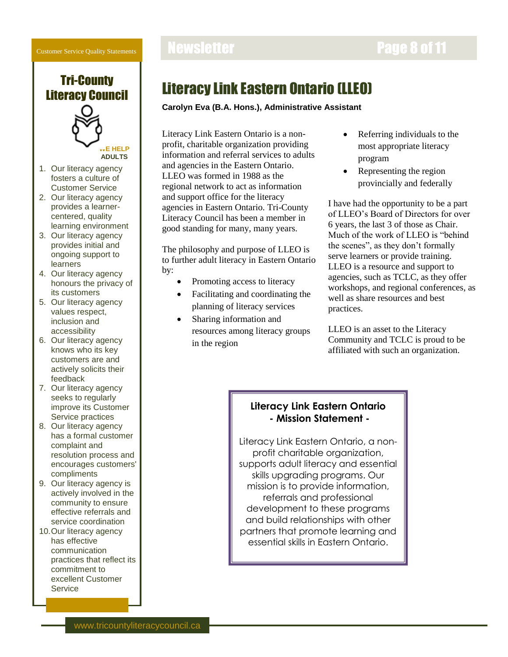Customer Service Quality Statements





### Literacy Link Eastern Ontario (LLEO)

#### **Carolyn Eva (B.A. Hons.), Administrative Assistant**

Literacy Link Eastern Ontario is a nonprofit, charitable organization providing information and referral services to adults and agencies in the Eastern Ontario. LLEO was formed in 1988 as the regional network to act as information and support office for the literacy agencies in Eastern Ontario. Tri-County Literacy Council has been a member in good standing for many, many years.

The philosophy and purpose of LLEO is to further adult literacy in Eastern Ontario by:

- Promoting access to literacy
- Facilitating and coordinating the planning of literacy services
- Sharing information and resources among literacy groups in the region
- Referring individuals to the most appropriate literacy program
- Representing the region provincially and federally

I have had the opportunity to be a part of LLEO's Board of Directors for over 6 years, the last 3 of those as Chair. Much of the work of LLEO is "behind the scenes", as they don't formally serve learners or provide training. LLEO is a resource and support to agencies, such as TCLC, as they offer workshops, and regional conferences, as well as share resources and best practices.

LLEO is an asset to the Literacy Community and TCLC is proud to be affiliated with such an organization.

#### **Literacy Link Eastern Ontario - Mission Statement -**

Literacy Link Eastern Ontario, a nonprofit charitable organization, supports adult literacy and essential skills upgrading programs. Our mission is to provide information, referrals and professional development to these programs and build relationships with other partners that promote learning and essential skills in Eastern Ontario.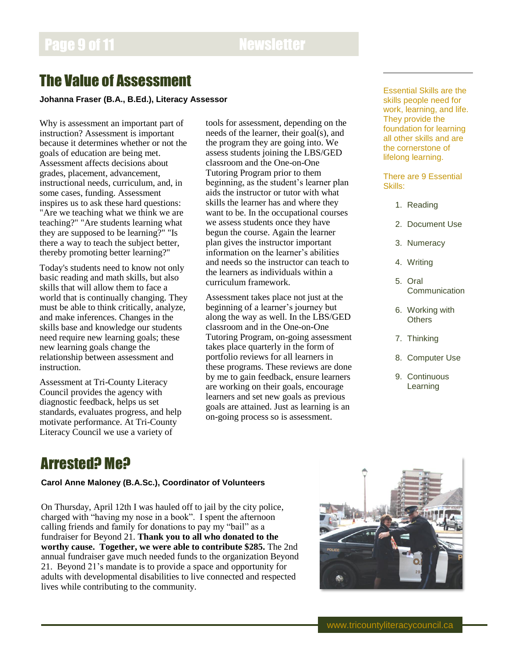### The Value of Assessment

**Johanna Fraser (B.A., B.Ed.), Literacy Assessor**

Why is assessment an important part of instruction? Assessment is important because it determines whether or not the goals of education are being met. Assessment affects decisions about grades, placement, advancement, instructional needs, curriculum, and, in some cases, funding. Assessment inspires us to ask these hard questions: "Are we teaching what we think we are teaching?" "Are students learning what they are supposed to be learning?" "Is there a way to teach the subject better, thereby promoting better learning?"

Today's students need to know not only basic reading and math skills, but also skills that will allow them to face a world that is continually changing. They must be able to think critically, analyze, and make inferences. Changes in the skills base and knowledge our students need require new learning goals; these new learning goals change the relationship between assessment and instruction.

Assessment at Tri-County Literacy Council provides the agency with diagnostic feedback, helps us set standards, evaluates progress, and help motivate performance. At Tri-County Literacy Council we use a variety of

tools for assessment, depending on the needs of the learner, their goal(s), and the program they are going into. We assess students joining the LBS/GED classroom and the One-on-One Tutoring Program prior to them beginning, as the student's learner plan aids the instructor or tutor with what skills the learner has and where they want to be. In the occupational courses we assess students once they have begun the course. Again the learner plan gives the instructor important information on the learner's abilities and needs so the instructor can teach to the learners as individuals within a curriculum framework.

Assessment takes place not just at the beginning of a learner's journey but along the way as well. In the LBS/GED classroom and in the One-on-One Tutoring Program, on-going assessment takes place quarterly in the form of portfolio reviews for all learners in these programs. These reviews are done by me to gain feedback, ensure learners are working on their goals, encourage learners and set new goals as previous goals are attained. Just as learning is an on-going process so is assessment.

Essential Skills are the skills people need for work, learning, and life. They provide the foundation for learning all other skills and are the cornerstone of lifelong learning.

There are 9 Essential Skills:

- 1. Reading
- 2. Document Use
- 3. Numeracy
- 4. Writing
- 5. Oral **Communication**
- 6. Working with **Others**
- 7. Thinking
- 8. Computer Use
- 9. Continuous Learning

### Arrested? Me?

#### **Carol Anne Maloney (B.A.Sc.), Coordinator of Volunteers**

On Thursday, April 12th I was hauled off to jail by the city police, charged with "having my nose in a book". I spent the afternoon calling friends and family for donations to pay my "bail" as a fundraiser for Beyond 21. **Thank you to all who donated to the worthy cause. Together, we were able to contribute \$285.** The 2nd annual fundraiser gave much needed funds to the organization Beyond 21. Beyond 21's mandate is to provide a space and opportunity for adults with developmental disabilities to live connected and respected lives while contributing to the community.

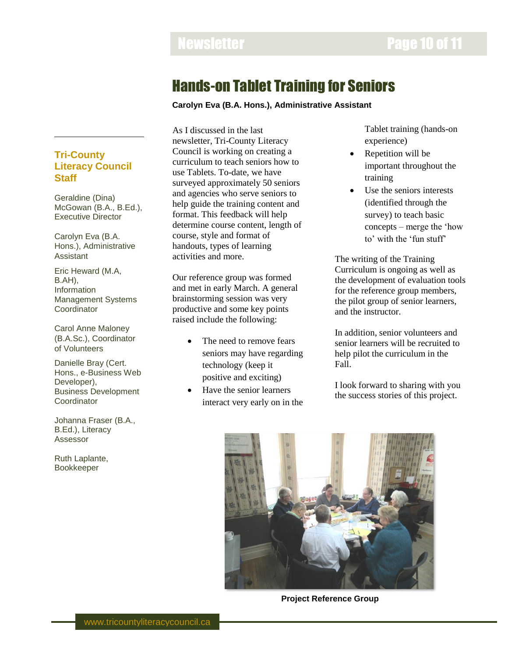### Hands-on Tablet Training for Seniors

**Carolyn Eva (B.A. Hons.), Administrative Assistant**

#### **Tri-County Literacy Council Staff**

Geraldine (Dina) McGowan (B.A., B.Ed.), Executive Director

Carolyn Eva (B.A. Hons.), Administrative Assistant

Eric Heward (M.A, B.AH), Information Management Systems **Coordinator** 

Carol Anne Maloney (B.A.Sc.), Coordinator of Volunteers

Danielle Bray (Cert. Hons., e-Business Web Developer), Business Development **Coordinator** 

Johanna Fraser (B.A., B.Ed.), Literacy Assessor

Ruth Laplante, Bookkeeper

As I discussed in the last newsletter, Tri-County Literacy Council is working on creating a curriculum to teach seniors how to use Tablets. To-date, we have surveyed approximately 50 seniors and agencies who serve seniors to help guide the training content and format. This feedback will help determine course content, length of course, style and format of handouts, types of learning activities and more.

Our reference group was formed and met in early March. A general brainstorming session was very productive and some key points raised include the following:

- The need to remove fears seniors may have regarding technology (keep it positive and exciting)
- Have the senior learners interact very early on in the

Tablet training (hands-on experience)

- Repetition will be important throughout the training
- Use the seniors interests (identified through the survey) to teach basic concepts – merge the 'how to' with the 'fun stuff'

The writing of the Training Curriculum is ongoing as well as the development of evaluation tools for the reference group members, the pilot group of senior learners, and the instructor.

In addition, senior volunteers and senior learners will be recruited to help pilot the curriculum in the Fall.

I look forward to sharing with you the success stories of this project.



**Project Reference Group**